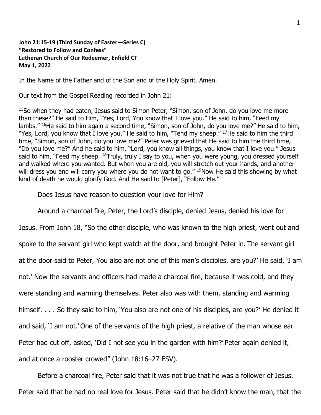## **John 21:15-19 (Third Sunday of Easter—Series C) "Restored to Follow and Confess" Lutheran Church of Our Redeemer, Enfield CT May 1, 2022**

In the Name of the Father and of the Son and of the Holy Spirit. Amen.

Our text from the Gospel Reading recorded in John 21:

<sup>15</sup>So when they had eaten, Jesus said to Simon Peter, "Simon, son of John, do you love me more than these?" He said to Him, "Yes, Lord, You know that I love you." He said to him, "Feed my lambs." <sup>16</sup>He said to him again a second time, "Simon, son of John, do you love me?" He said to him, "Yes, Lord, you know that I love you." He said to him, "Tend my sheep." <sup>17</sup>He said to him the third time, "Simon, son of John, do you love me?" Peter was grieved that He said to him the third time, "Do you love me?" And he said to him, "Lord, you know all things, you know that I love you." Jesus said to him, "Feed my sheep. <sup>18</sup>Truly, truly I say to you, when you were young, you dressed yourself and walked where you wanted. But when you are old, you will stretch out your hands, and another will dress you and will carry you where you do not want to go." 19Now He said this showing by what kind of death he would glorify God. And He said to [Peter], "Follow Me."

Does Jesus have reason to question your love for Him?

Around a charcoal fire, Peter, the Lord's disciple, denied Jesus, denied his love for

Jesus. From John 18, "So the other disciple, who was known to the high priest, went out and spoke to the servant girl who kept watch at the door, and brought Peter in. The servant girl at the door said to Peter, You also are not one of this man's disciples, are you?' He said, 'I am not.' Now the servants and officers had made a charcoal fire, because it was cold, and they were standing and warming themselves. Peter also was with them, standing and warming himself. . . . So they said to him, 'You also are not one of his disciples, are you?' He denied it and said, 'I am not.' One of the servants of the high priest, a relative of the man whose ear Peter had cut off, asked, 'Did I not see you in the garden with him?' Peter again denied it, and at once a rooster crowed" (John 18:16–27 ESV).

Before a charcoal fire, Peter said that it was not true that he was a follower of Jesus. Peter said that he had no real love for Jesus. Peter said that he didn't know the man, that the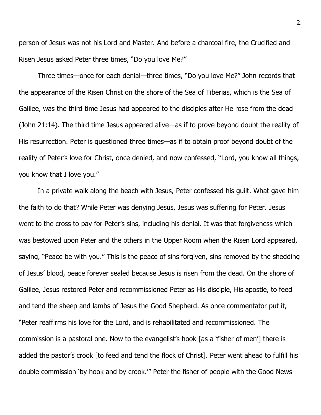person of Jesus was not his Lord and Master. And before a charcoal fire, the Crucified and Risen Jesus asked Peter three times, "Do you love Me?"

Three times—once for each denial—three times, "Do you love Me?" John records that the appearance of the Risen Christ on the shore of the Sea of Tiberias, which is the Sea of Galilee, was the third time Jesus had appeared to the disciples after He rose from the dead (John 21:14). The third time Jesus appeared alive—as if to prove beyond doubt the reality of His resurrection. Peter is questioned three times—as if to obtain proof beyond doubt of the reality of Peter's love for Christ, once denied, and now confessed, "Lord, you know all things, you know that I love you."

In a private walk along the beach with Jesus, Peter confessed his guilt. What gave him the faith to do that? While Peter was denying Jesus, Jesus was suffering for Peter. Jesus went to the cross to pay for Peter's sins, including his denial. It was that forgiveness which was bestowed upon Peter and the others in the Upper Room when the Risen Lord appeared, saying, "Peace be with you." This is the peace of sins forgiven, sins removed by the shedding of Jesus' blood, peace forever sealed because Jesus is risen from the dead. On the shore of Galilee, Jesus restored Peter and recommissioned Peter as His disciple, His apostle, to feed and tend the sheep and lambs of Jesus the Good Shepherd. As once commentator put it, "Peter reaffirms his love for the Lord, and is rehabilitated and recommissioned. The commission is a pastoral one. Now to the evangelist's hook [as a 'fisher of men'] there is added the pastor's crook [to feed and tend the flock of Christ]. Peter went ahead to fulfill his double commission 'by hook and by crook.'" Peter the fisher of people with the Good News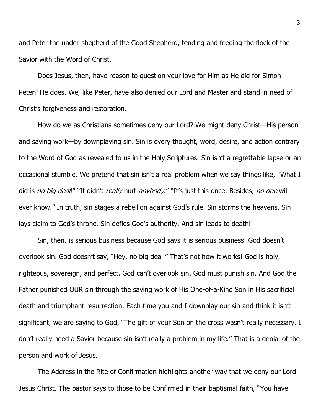and Peter the under-shepherd of the Good Shepherd, tending and feeding the flock of the Savior with the Word of Christ.

Does Jesus, then, have reason to question your love for Him as He did for Simon Peter? He does. We, like Peter, have also denied our Lord and Master and stand in need of Christ's forgiveness and restoration.

How do we as Christians sometimes deny our Lord? We might deny Christ—His person and saving work—by downplaying sin. Sin is every thought, word, desire, and action contrary to the Word of God as revealed to us in the Holy Scriptures. Sin isn't a regrettable lapse or an occasional stumble. We pretend that sin isn't a real problem when we say things like, "What I did is no big deal!" "It didn't really hurt anybody." "It's just this once. Besides, no one will ever know." In truth, sin stages a rebellion against God's rule. Sin storms the heavens. Sin lays claim to God's throne. Sin defies God's authority. And sin leads to death!

Sin, then, is serious business because God says it is serious business. God doesn't overlook sin. God doesn't say, "Hey, no big deal." That's not how it works! God is holy, righteous, sovereign, and perfect. God can't overlook sin. God must punish sin. And God the Father punished OUR sin through the saving work of His One-of-a-Kind Son in His sacrificial death and triumphant resurrection. Each time you and I downplay our sin and think it isn't significant, we are saying to God, "The gift of your Son on the cross wasn't really necessary. I don't really need a Savior because sin isn't really a problem in my life." That is a denial of the person and work of Jesus.

The Address in the Rite of Confirmation highlights another way that we deny our Lord Jesus Christ. The pastor says to those to be Confirmed in their baptismal faith, "You have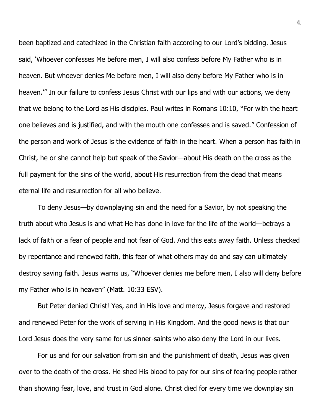been baptized and catechized in the Christian faith according to our Lord's bidding. Jesus said, 'Whoever confesses Me before men, I will also confess before My Father who is in heaven. But whoever denies Me before men, I will also deny before My Father who is in heaven.'" In our failure to confess Jesus Christ with our lips and with our actions, we deny that we belong to the Lord as His disciples. Paul writes in Romans 10:10, "For with the heart one believes and is justified, and with the mouth one confesses and is saved." Confession of the person and work of Jesus is the evidence of faith in the heart. When a person has faith in Christ, he or she cannot help but speak of the Savior—about His death on the cross as the full payment for the sins of the world, about His resurrection from the dead that means eternal life and resurrection for all who believe.

To deny Jesus—by downplaying sin and the need for a Savior, by not speaking the truth about who Jesus is and what He has done in love for the life of the world—betrays a lack of faith or a fear of people and not fear of God. And this eats away faith. Unless checked by repentance and renewed faith, this fear of what others may do and say can ultimately destroy saving faith. Jesus warns us, "Whoever denies me before men, I also will deny before my Father who is in heaven" (Matt. 10:33 ESV).

But Peter denied Christ! Yes, and in His love and mercy, Jesus forgave and restored and renewed Peter for the work of serving in His Kingdom. And the good news is that our Lord Jesus does the very same for us sinner-saints who also deny the Lord in our lives.

For us and for our salvation from sin and the punishment of death, Jesus was given over to the death of the cross. He shed His blood to pay for our sins of fearing people rather than showing fear, love, and trust in God alone. Christ died for every time we downplay sin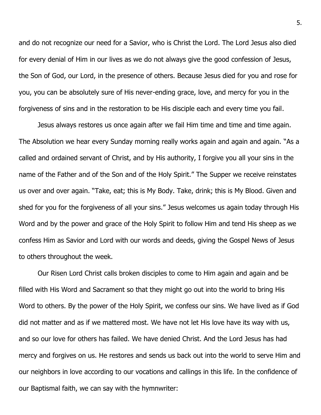and do not recognize our need for a Savior, who is Christ the Lord. The Lord Jesus also died for every denial of Him in our lives as we do not always give the good confession of Jesus, the Son of God, our Lord, in the presence of others. Because Jesus died for you and rose for you, you can be absolutely sure of His never-ending grace, love, and mercy for you in the forgiveness of sins and in the restoration to be His disciple each and every time you fail.

Jesus always restores us once again after we fail Him time and time and time again. The Absolution we hear every Sunday morning really works again and again and again. "As a called and ordained servant of Christ, and by His authority, I forgive you all your sins in the name of the Father and of the Son and of the Holy Spirit." The Supper we receive reinstates us over and over again. "Take, eat; this is My Body. Take, drink; this is My Blood. Given and shed for you for the forgiveness of all your sins." Jesus welcomes us again today through His Word and by the power and grace of the Holy Spirit to follow Him and tend His sheep as we confess Him as Savior and Lord with our words and deeds, giving the Gospel News of Jesus to others throughout the week.

Our Risen Lord Christ calls broken disciples to come to Him again and again and be filled with His Word and Sacrament so that they might go out into the world to bring His Word to others. By the power of the Holy Spirit, we confess our sins. We have lived as if God did not matter and as if we mattered most. We have not let His love have its way with us, and so our love for others has failed. We have denied Christ. And the Lord Jesus has had mercy and forgives on us. He restores and sends us back out into the world to serve Him and our neighbors in love according to our vocations and callings in this life. In the confidence of our Baptismal faith, we can say with the hymnwriter: